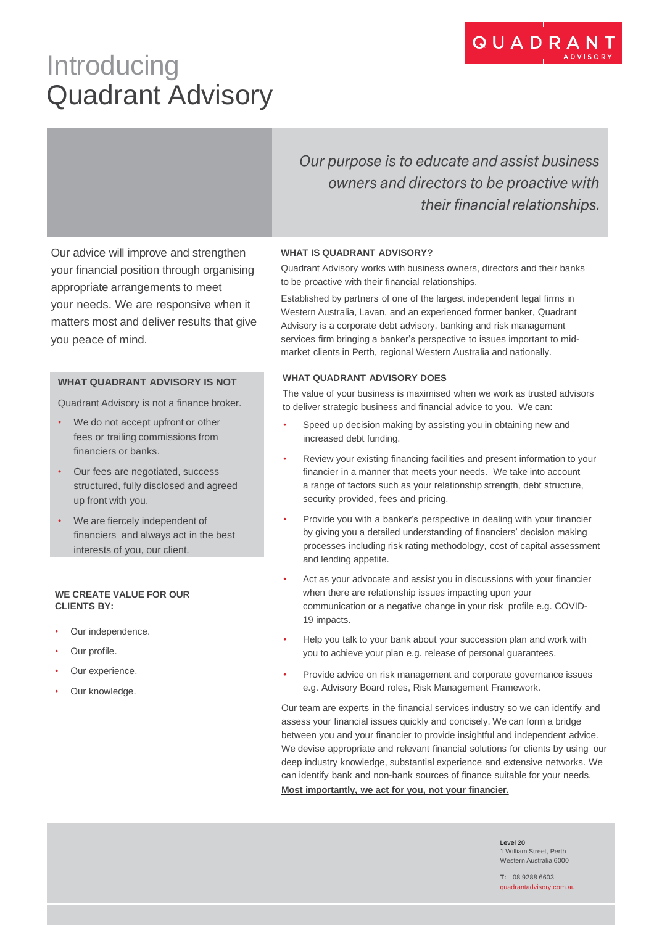# **Introducing** Quadrant Advisory

Our purpose is to educate and assist business owners and directors to be proactive with their financial relationships.

Our advice will improve and strengthen your financial position through organising appropriate arrangements to meet your needs. We are responsive when it matters most and deliver results that give you peace of mind.

## **WHAT QUADRANT ADVISORY IS NOT**

Quadrant Advisory is not a finance broker.

- We do not accept upfront or other fees or trailing commissions from financiers or banks.
- Our fees are negotiated, success structured, fully disclosed and agreed up front with you.
- We are fiercely independent of financiers and always act in the best interests of you, our client.

### **WE CREATE VALUE FOR OUR CLIENTS BY:**

- Our independence.
- Our profile.
- Our experience.
- Our knowledge.

### **WHAT IS QUADRANT ADVISORY?**

Quadrant Advisory works with business owners, directors and their banks to be proactive with their financial relationships.

Established by partners of one of the largest independent legal firms in Western Australia, Lavan, and an experienced former banker, Quadrant Advisory is a corporate debt advisory, banking and risk management services firm bringing a banker's perspective to issues important to midmarket clients in Perth, regional Western Australia and nationally.

### **WHAT QUADRANT ADVISORY DOES**

The value of your business is maximised when we work as trusted advisors to deliver strategic business and financial advice to you. We can:

- Speed up decision making by assisting you in obtaining new and increased debt funding.
- Review your existing financing facilities and present information to your financier in a manner that meets your needs. We take into account a range of factors such as your relationship strength, debt structure, security provided, fees and pricing.
- Provide you with a banker's perspective in dealing with your financier by giving you a detailed understanding of financiers' decision making processes including risk rating methodology, cost of capital assessment and lending appetite.
- Act as your advocate and assist you in discussions with your financier when there are relationship issues impacting upon your communication or a negative change in your risk profile e.g. COVID-19 impacts.
- Help you talk to your bank about your succession plan and work with you to achieve your plan e.g. release of personal guarantees.
- Provide advice on risk management and corporate governance issues e.g. Advisory Board roles, Risk Management Framework.

Our team are experts in the financial services industry so we can identify and assess your financial issues quickly and concisely. We can form a bridge between you and your financier to provide insightful and independent advice. We devise appropriate and relevant financial solutions for clients by using our deep industry knowledge, substantial experience and extensive networks. We can identify bank and non-bank sources of finance suitable for your needs. **Most importantly, we act for you, not your financier.**

> Level 20 1 William Street, Perth Western Australia 6000

**T:** 08 9288 6603 quadrantadvisory.com.au